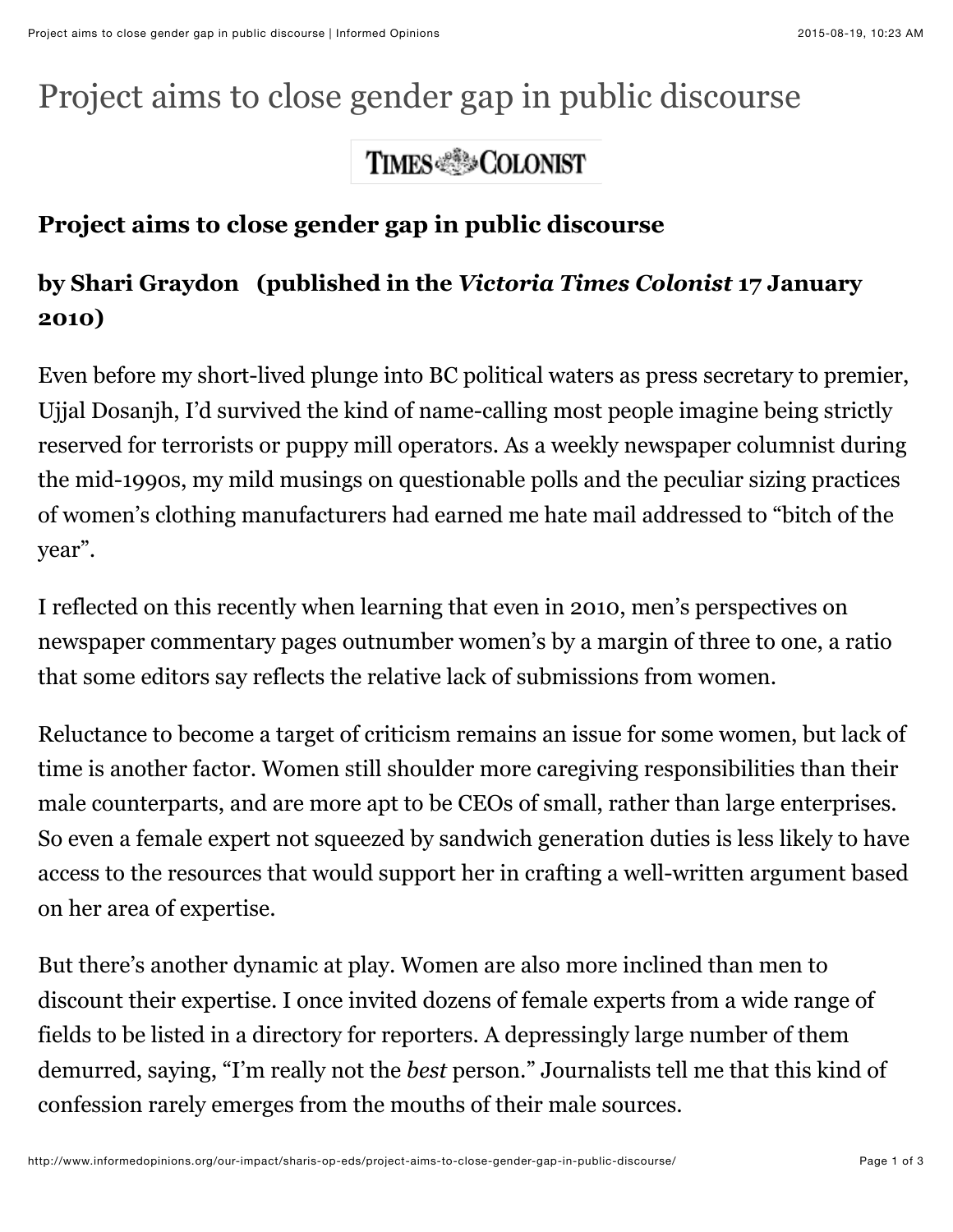## Project aims to close gender gap in public discourse

## **TIMES SECOLONIST**

## **Project aims to close gender gap in public discourse**

## **by Shari Graydon****(published in the** *Victoria Times Colonist* **17 January 2010)**

Even before my short-lived plunge into BC political waters as press secretary to premier, Ujjal Dosanjh, I'd survived the kind of name-calling most people imagine being strictly reserved for terrorists or puppy mill operators. As a weekly newspaper columnist during the mid-1990s, my mild musings on questionable polls and the peculiar sizing practices of women's clothing manufacturers had earned me hate mail addressed to "bitch of the year".

I reflected on this recently when learning that even in 2010, men's perspectives on newspaper commentary pages outnumber women's by a margin of three to one, a ratio that some editors say reflects the relative lack of submissions from women.

Reluctance to become a target of criticism remains an issue for some women, but lack of time is another factor. Women still shoulder more caregiving responsibilities than their male counterparts, and are more apt to be CEOs of small, rather than large enterprises. So even a female expert not squeezed by sandwich generation duties is less likely to have access to the resources that would support her in crafting a well-written argument based on her area of expertise.

But there's another dynamic at play. Women are also more inclined than men to discount their expertise. I once invited dozens of female experts from a wide range of fields to be listed in a directory for reporters. A depressingly large number of them demurred, saying, "I'm really not the *best* person." Journalists tell me that this kind of confession rarely emerges from the mouths of their male sources.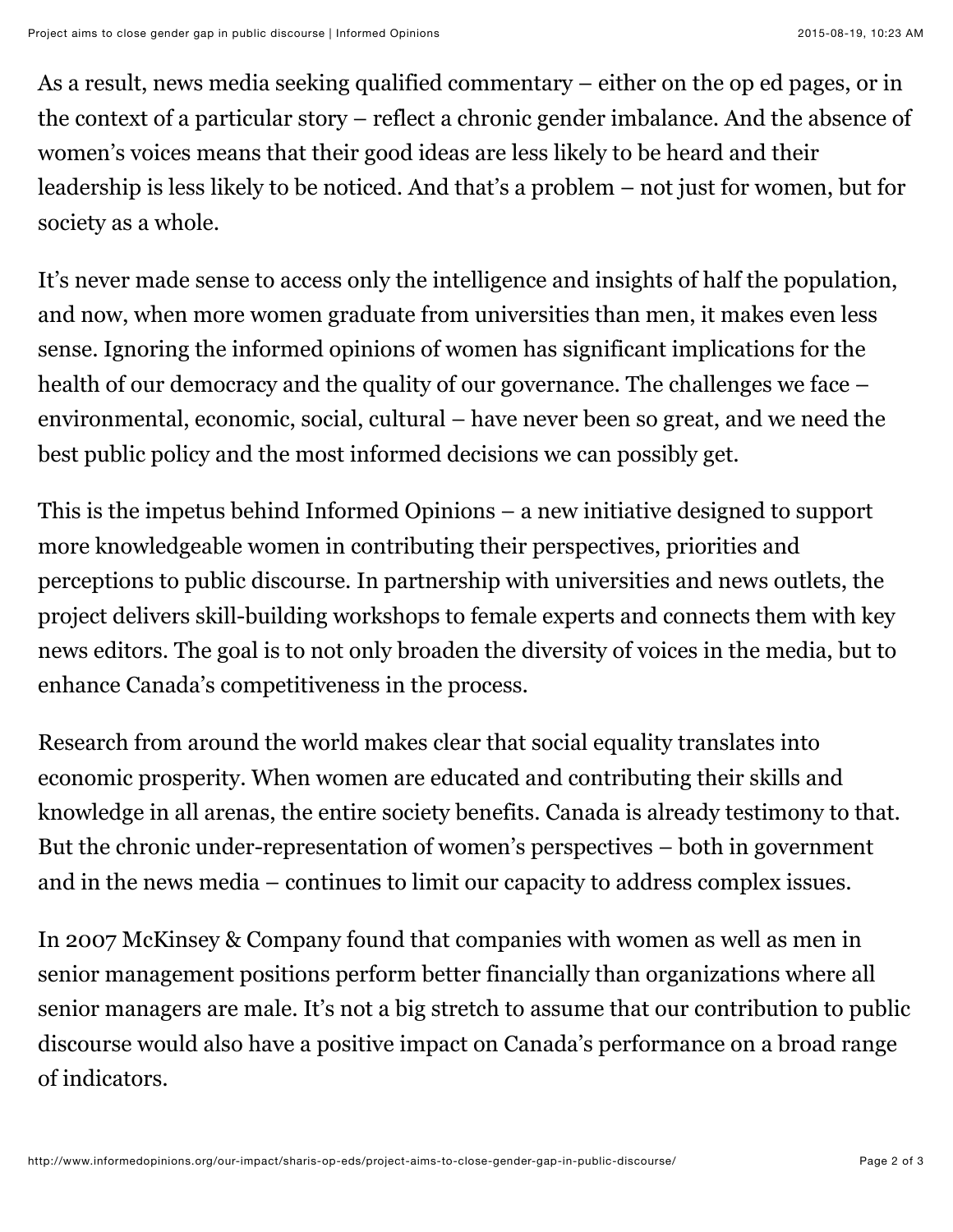As a result, news media seeking qualified commentary – either on the op ed pages, or in the context of a particular story – reflect a chronic gender imbalance. And the absence of women's voices means that their good ideas are less likely to be heard and their leadership is less likely to be noticed. And that's a problem – not just for women, but for society as a whole.

It's never made sense to access only the intelligence and insights of half the population, and now, when more women graduate from universities than men, it makes even less sense. Ignoring the informed opinions of women has significant implications for the health of our democracy and the quality of our governance. The challenges we face – environmental, economic, social, cultural – have never been so great, and we need the best public policy and the most informed decisions we can possibly get.

This is the impetus behind Informed Opinions – a new initiative designed to support more knowledgeable women in contributing their perspectives, priorities and perceptions to public discourse. In partnership with universities and news outlets, the project delivers skill-building workshops to female experts and connects them with key news editors. The goal is to not only broaden the diversity of voices in the media, but to enhance Canada's competitiveness in the process.

Research from around the world makes clear that social equality translates into economic prosperity. When women are educated and contributing their skills and knowledge in all arenas, the entire society benefits. Canada is already testimony to that. But the chronic under-representation of women's perspectives – both in government and in the news media – continues to limit our capacity to address complex issues.

In 2007 McKinsey & Company found that companies with women as well as men in senior management positions perform better financially than organizations where all senior managers are male. It's not a big stretch to assume that our contribution to public discourse would also have a positive impact on Canada's performance on a broad range of indicators.